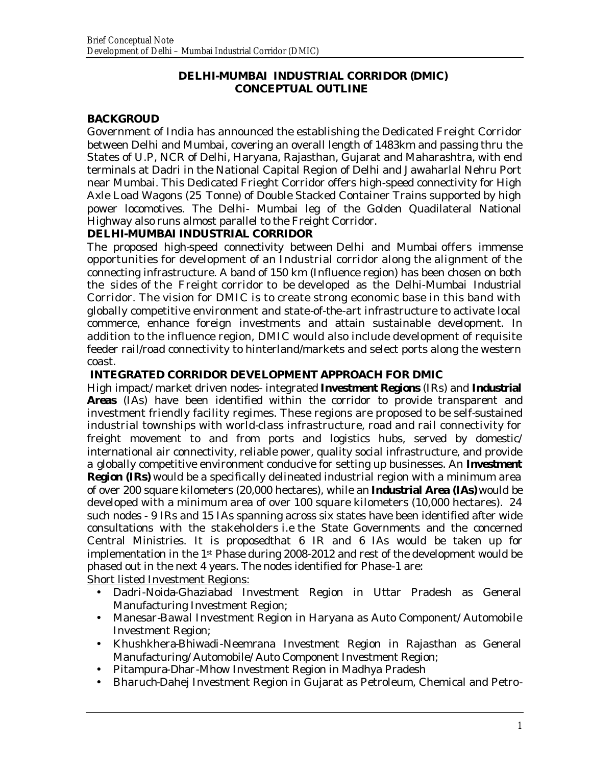#### **DELHI-MUMBAI INDUSTRIAL CORRIDOR (DMIC) CONCEPTUAL OUTLINE**

### **BACKGROUD**

Government of India has announced the establishing the Dedicated Freight Corridor between Delhi and Mumbai, covering an overall length of 1483km and passing thru the States of U.P, NCR of Delhi, Haryana, Rajasthan, Gujarat and Maharashtra, with end terminals at Dadri in the National Capital Region of Delhi and Jawaharlal Nehru Port near Mumbai. This Dedicated Frieght Corridor offers high-speed connectivity for High Axle Load Wagons (25 Tonne) of Double Stacked Container Trains supported by high power locomotives. The Delhi- Mumbai leg of the Golden Quadilateral National Highway also runs almost parallel to the Freight Corridor.

### **DELHI-MUMBAI INDUSTRIAL CORRIDOR**

The proposed high-speed connectivity between Delhi and Mumbai offers immense opportunities for development of an Industrial corridor along the alignment of the connecting infrastructure. A band of 150 km (Influence region) has been chosen on both the sides of the Freight corridor to be developed as the Delhi-Mumbai Industrial Corridor. The vision for DMIC is to create strong economic base in this band with globally competitive environment and state-of-the-art infrastructure to activate local commerce, enhance foreign investments and attain sustainable development. In addition to the influence region, DMIC would also include development of requisite feeder rail/road connectivity to hinterland/markets and select ports along the western coast.

### **INTEGRATED CORRIDOR DEVELOPMENT APPROACH FOR DMIC**

High impact/ market driven nodes- integrated **Investment Regions** (IRs) and **Industrial Areas** (IAs) have been identified within the corridor to provide transparent and investment friendly facility regimes. These regions are proposed to be self-sustained industrial townships with world-class infrastructure, road and rail connectivity for freight movement to and from ports and logistics hubs, served by domestic/ international air connectivity, reliable power, quality social infrastructure, and provide a globally competitive environment conducive for setting up businesses. An **Investment Region (IRs)** would be a specifically delineated industrial region with a minimum area of over 200 square kilometers (20,000 hectares), while an **Industrial Area (IAs)** would be developed with a minimum area of over 100 square kilometers (10,000 hectares). 24 such nodes - 9 IRs and 15 IAs spanning across six states have been identified after wide consultations with the stakeholders i.e the State Governments and the concerned Central Ministries. It is proposedthat 6 IR and 6 IAs would be taken up for implementation in the 1st Phase during 2008-2012 and rest of the development would be phased out in the next 4 years. The nodes identified for Phase-1 are:

Short listed Investment Regions:

- Dadri-Noida-Ghaziabad Investment Region in Uttar Pradesh as General Manufacturing Investment Region;
- Manesar-Bawal Investment Region in Haryana as Auto Component/ Automobile Investment Region;
- Khushkhera-Bhiwadi-Neemrana Investment Region in Rajasthan as General Manufacturing/ Automobile/ Auto Component Investment Region;
- Pitampura-Dhar-Mhow Investment Region in Madhya Pradesh
- Bharuch-Dahej Investment Region in Gujarat as Petroleum, Chemical and Petro-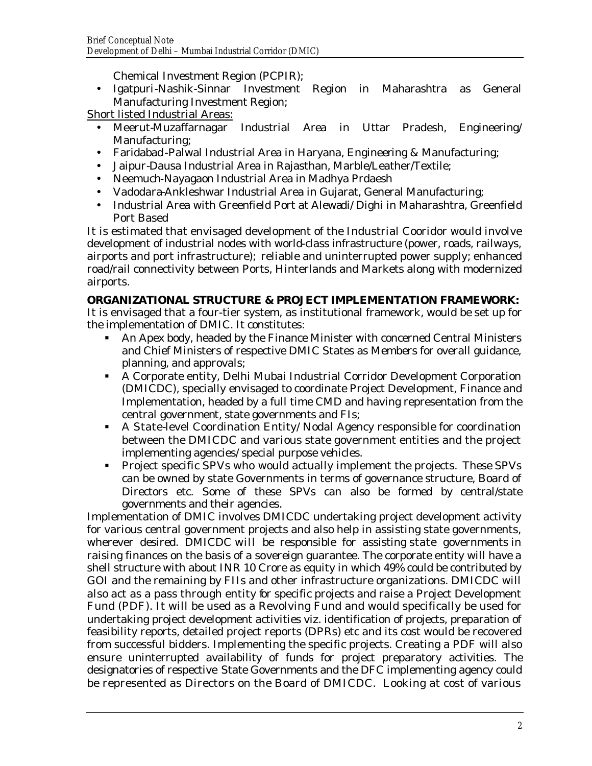Chemical Investment Region (PCPIR);

• Igatpuri-Nashik-Sinnar Investment Region in Maharashtra as General Manufacturing Investment Region;

Short listed Industrial Areas:

- Meerut-Muzaffarnagar Industrial Area in Uttar Pradesh, Engineering/ Manufacturing;
- Faridabad-Palwal Industrial Area in Haryana, Engineering & Manufacturing;
- Jaipur-Dausa Industrial Area in Rajasthan, Marble/Leather/Textile;
- Neemuch-Nayagaon Industrial Area in Madhya Prdaesh
- Vadodara-Ankleshwar Industrial Area in Gujarat, General Manufacturing;
- Industrial Area with Greenfield Port at Alewadi/ Dighi in Maharashtra, Greenfield Port Based

It is estimated that envisaged development of the Industrial Cooridor would involve development of industrial nodes with world-class infrastructure (power, roads, railways, airports and port infrastructure); reliable and uninterrupted power supply; enhanced road/rail connectivity between Ports, Hinterlands and Markets along with modernized airports.

## **ORGANIZATIONAL STRUCTURE & PROJECT IMPLEMENTATION FRAMEWORK:**

It is envisaged that a four-tier system, as institutional framework, would be set up for the implementation of DMIC. It constitutes:

- ß An Apex body, headed by the Finance Minister with concerned Central Ministers and Chief Ministers of respective DMIC States as Members for overall guidance, planning, and approvals;
- **A Corporate entity, Delhi Mubai Industrial Corridor Development Corporation** (DMICDC), specially envisaged to coordinate Project Development, Finance and Implementation, headed by a full time CMD and having representation from the central government, state governments and FIs;
- A State-level Coordination Entity/ Nodal Agency responsible for coordination between the DMICDC and various state government entities and the project implementing agencies/ special purpose vehicles.
- **Project specific SPVs who would actually implement the projects. These SPVs** can be owned by state Governments in terms of governance structure, Board of Directors etc. Some of these SPVs can also be formed by central/state governments and their agencies.

Implementation of DMIC involves DMICDC undertaking project development activity for various central government projects and also help in assisting state governments, wherever desired. DMICDC will be responsible for assisting state governments in raising finances on the basis of a sovereign guarantee. The corporate entity will have a shell structure with about INR 10 Crore as equity in which 49% could be contributed by GOI and the remaining by FIIs and other infrastructure organizations. DMICDC will also act as a pass through entity for specific projects and raise a Project Development Fund (PDF). It will be used as a Revolving Fund and would specifically be used for undertaking project development activities viz. identification of projects, preparation of feasibility reports, detailed project reports (DPRs) etc and its cost would be recovered from successful bidders. Implementing the specific projects. Creating a PDF will also ensure uninterrupted availability of funds for project preparatory activities. The designatories of respective State Governments and the DFC implementing agency could be represented as Directors on the Board of DMICDC. Looking at cost of various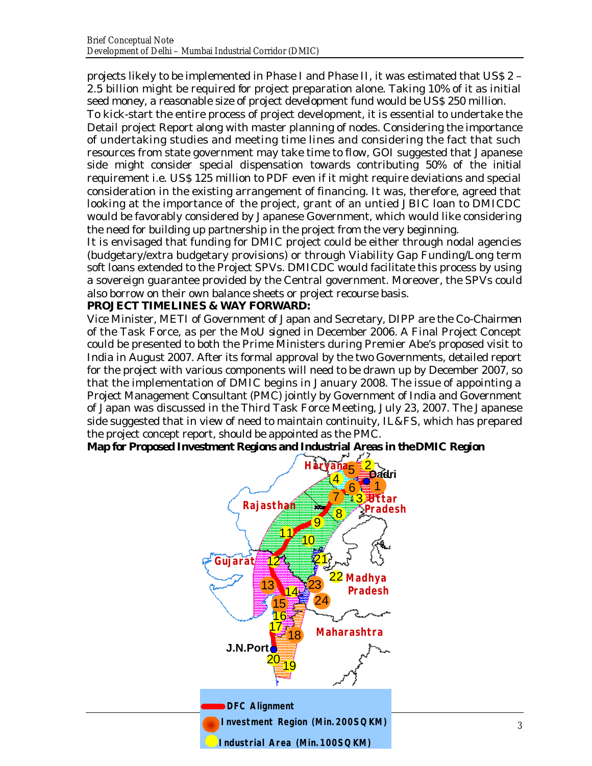projects likely to be implemented in Phase I and Phase II, it was estimated that US\$ 2 – 2.5 billion might be required for project preparation alone. Taking 10% of it as initial seed money, a reasonable size of project development fund would be US\$ 250 million.

To kick-start the entire process of project development, it is essential to undertake the Detail project Report along with master planning of nodes. Considering the importance of undertaking studies and meeting time lines and considering the fact that such resources from state government may take time to flow, GOI suggested that Japanese side might consider special dispensation towards contributing 50% of the initial requirement i.e. US\$ 125 million to PDF even if it might require deviations and special consideration in the existing arrangement of financing. It was, therefore, agreed that looking at the importance of the project, grant of an untied JBIC loan to DMICDC would be favorably considered by Japanese Government, which would like considering the need for building up partnership in the project from the very beginning.

It is envisaged that funding for DMIC project could be either through nodal agencies (budgetary/extra budgetary provisions) or through Viability Gap Funding/Long term soft loans extended to the Project SPVs. DMICDC would facilitate this process by using a sovereign guarantee provided by the Central government. Moreover, the SPVs could also borrow on their own balance sheets or project recourse basis.

#### **PROJECT TIMELINES & WAY FORWARD:**

Vice Minister, METI of Government of Japan and Secretary, DIPP are the Co-Chairmen of the Task Force, as per the MoU signed in December 2006. A Final Project Concept could be presented to both the Prime Ministers during Premier Abe's proposed visit to India in August 2007. After its formal approval by the two Governments, detailed report for the project with various components will need to be drawn up by December 2007, so that the implementation of DMIC begins in January 2008. The issue of appointing a Project Management Consultant (PMC) jointly by Government of India and Government of Japan was discussed in the Third Task Force Meeting, July 23, 2007. The Japanese side suggested that in view of need to maintain continuity, IL&FS, which has prepared the project concept report, should be appointed as the PMC.

**Map for Proposed Investment Regions and Industrial Areas in the DMIC Region**